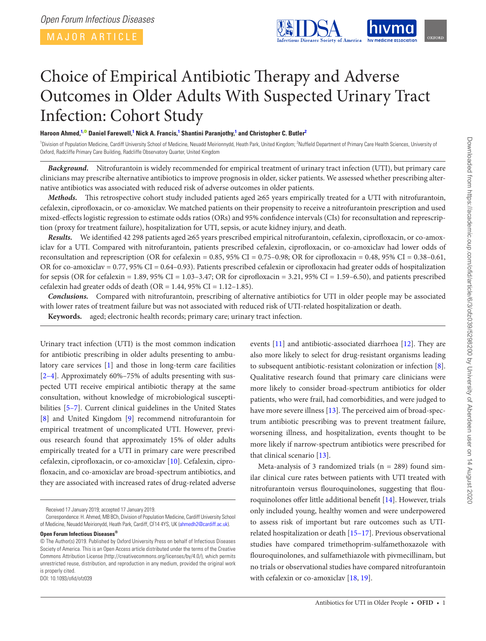MAJOR ARTICLE



# Choice of Empirical Antibiotic Therapy and Adverse Outcomes in Older Adults With Suspected Urinary Tract Infection: Cohort Study

# **Haroon Ahmed, [1](#page-0-0)[,](http://orcid.org/0000-0002-0634-8548) Daniel Farewell, [1](#page-0-0) Nick A. Francis, [1](#page-0-0) Shantini Paranjothy, [1](#page-0-0) and Christopher C. Butler[2](#page-0-1)**

<span id="page-0-1"></span><span id="page-0-0"></span><sup>1</sup>Division of Population Medicine, Cardiff University School of Medicine, Neuadd Meirionnydd, Heath Park, United Kingdom; <sup>2</sup>Nuffield Department of Primary Care Health Sciences, University of Oxford, Radcliffe Primary Care Building, Radcliffe Observatory Quarter, United Kingdom

*Background.* Nitrofurantoin is widely recommended for empirical treatment of urinary tract infection (UTI), but primary care clinicians may prescribe alternative antibiotics to improve prognosis in older, sicker patients. We assessed whether prescribing alternative antibiotics was associated with reduced risk of adverse outcomes in older patients.

*Methods.* This retrospective cohort study included patients aged ≥65 years empirically treated for a UTI with nitrofurantoin, cefalexin, ciprofloxacin, or co-amoxiclav. We matched patients on their propensity to receive a nitrofurantoin prescription and used mixed-effects logistic regression to estimate odds ratios (ORs) and 95% confidence intervals (CIs) for reconsultation and represcription (proxy for treatment failure), hospitalization for UTI, sepsis, or acute kidney injury, and death.

*Results.* We identified 42 298 patients aged ≥65 years prescribed empirical nitrofurantoin, cefalexin, ciprofloxacin, or co-amoxiclav for a UTI. Compared with nitrofurantoin, patients prescribed cefalexin, ciprofloxacin, or co-amoxiclav had lower odds of reconsultation and represcription (OR for cefalexin =  $0.85$ ,  $95\%$  CI =  $0.75-0.98$ ; OR for ciprofloxacin =  $0.48$ ,  $95\%$  CI =  $0.38-0.61$ , OR for co-amoxiclav = 0.77, 95% CI = 0.64–0.93). Patients prescribed cefalexin or ciprofloxacin had greater odds of hospitalization for sepsis (OR for cefalexin = 1.89, 95% CI = 1.03–3.47; OR for ciprofloxacin = 3.21, 95% CI = 1.59–6.50), and patients prescribed cefalexin had greater odds of death ( $OR = 1.44$ ,  $95\%$  CI =  $1.12-1.85$ ).

*Conclusions.* Compared with nitrofurantoin, prescribing of alternative antibiotics for UTI in older people may be associated with lower rates of treatment failure but was not associated with reduced risk of UTI-related hospitalization or death.

**Keywords.** aged; electronic health records; primary care; urinary tract infection.

Urinary tract infection (UTI) is the most common indication for antibiotic prescribing in older adults presenting to ambulatory care services [[1](#page-5-0)] and those in long-term care facilities [2–4]. Approximately 60%–75% of adults presenting with suspected UTI receive empirical antibiotic therapy at the same consultation, without knowledge of microbiological susceptibilities [5–7]. Current clinical guidelines in the United States [\[8\]](#page-5-1) and United Kingdom [\[9\]](#page-5-2) recommend nitrofurantoin for empirical treatment of uncomplicated UTI. However, previous research found that approximately 15% of older adults empirically treated for a UTI in primary care were prescribed cefalexin, ciprofloxacin, or co-amoxiclav [[10\]](#page-5-3). Cefalexin, ciprofloxacin, and co-amoxiclav are broad-spectrum antibiotics, and they are associated with increased rates of drug-related adverse

**Open Forum Infectious Diseases®** © The Author(s) 2019. Published by Oxford University Press on behalf of Infectious Diseases Society of America. This is an Open Access article distributed under the terms of the Creative Commons Attribution License (http://creativecommons.org/licenses/by/4.0/), which permits unrestricted reuse, distribution, and reproduction in any medium, provided the original work is properly cited.

DOI: 10.1093/ofid/ofz039

events [\[11](#page-5-4)] and antibiotic-associated diarrhoea [\[12](#page-5-5)]. They are also more likely to select for drug-resistant organisms leading to subsequent antibiotic-resistant colonization or infection [[8](#page-5-1)]. Qualitative research found that primary care clinicians were more likely to consider broad-spectrum antibiotics for older patients, who were frail, had comorbidities, and were judged to have more severe illness [[13\]](#page-5-6). The perceived aim of broad-spectrum antibiotic prescribing was to prevent treatment failure, worsening illness, and hospitalization, events thought to be more likely if narrow-spectrum antibiotics were prescribed for that clinical scenario [[13\]](#page-5-6).

Meta-analysis of 3 randomized trials ( $n = 289$ ) found similar clinical cure rates between patients with UTI treated with nitrofurantoin versus flouroquinolones, suggesting that flouroquinolones offer little additional benefit [[14\]](#page-5-7). However, trials only included young, healthy women and were underpowered to assess risk of important but rare outcomes such as UTIrelated hospitalization or death [15–17]. Previous observational studies have compared trimethoprim-sulfamethoxazole with flouroquinolones, and sulfamethiazole with pivmecillinam, but no trials or observational studies have compared nitrofurantoin with cefalexin or co-amoxiclav [\[18,](#page-5-8) [19](#page-5-9)].

Received 17 January 2019; accepted 17 January 2019.

Correspondence: H. Ahmed, MB BCh, Division of Population Medicine, Cardiff University School of Medicine, Neuadd Meirionydd, Heath Park, Cardiff, CF14 4YS, UK ([ahmedh2@cardiff.ac.uk](mailto:ahmedh2@cardiff.ac.uk?subject=)).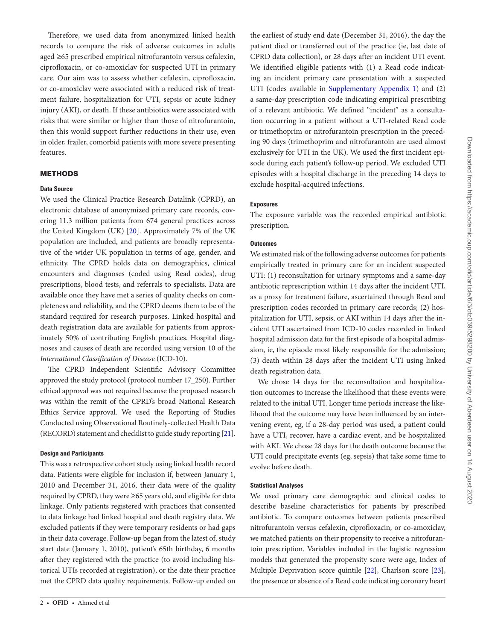Therefore, we used data from anonymized linked health records to compare the risk of adverse outcomes in adults aged ≥65 prescribed empirical nitrofurantoin versus cefalexin, ciprofloxacin, or co-amoxiclav for suspected UTI in primary care. Our aim was to assess whether cefalexin, ciprofloxacin, or co-amoxiclav were associated with a reduced risk of treatment failure, hospitalization for UTI, sepsis or acute kidney injury (AKI), or death. If these antibiotics were associated with risks that were similar or higher than those of nitrofurantoin, then this would support further reductions in their use, even in older, frailer, comorbid patients with more severe presenting features.

# METHODS

## **Data Source**

We used the Clinical Practice Research Datalink (CPRD), an electronic database of anonymized primary care records, covering 11.3 million patients from 674 general practices across the United Kingdom (UK) [[20](#page-5-10)]. Approximately 7% of the UK population are included, and patients are broadly representative of the wider UK population in terms of age, gender, and ethnicity. The CPRD holds data on demographics, clinical encounters and diagnoses (coded using Read codes), drug prescriptions, blood tests, and referrals to specialists. Data are available once they have met a series of quality checks on completeness and reliability, and the CPRD deems them to be of the standard required for research purposes. Linked hospital and death registration data are available for patients from approximately 50% of contributing English practices. Hospital diagnoses and causes of death are recorded using version 10 of the *International Classification of Disease* (ICD-10).

The CPRD Independent Scientific Advisory Committee approved the study protocol (protocol number 17\_250). Further ethical approval was not required because the proposed research was within the remit of the CPRD's broad National Research Ethics Service approval. We used the Reporting of Studies Conducted using Observational Routinely-collected Health Data (RECORD) statement and checklist to guide study reporting [[21\]](#page-5-11).

#### **Design and Participants**

This was a retrospective cohort study using linked health record data. Patients were eligible for inclusion if, between January 1, 2010 and December 31, 2016, their data were of the quality required by CPRD, they were ≥65 years old, and eligible for data linkage. Only patients registered with practices that consented to data linkage had linked hospital and death registry data. We excluded patients if they were temporary residents or had gaps in their data coverage. Follow-up began from the latest of, study start date (January 1, 2010), patient's 65th birthday, 6 months after they registered with the practice (to avoid including historical UTIs recorded at registration), or the date their practice met the CPRD data quality requirements. Follow-up ended on

the earliest of study end date (December 31, 2016), the day the patient died or transferred out of the practice (ie, last date of CPRD data collection), or 28 days after an incident UTI event. We identified eligible patients with (1) a Read code indicating an incident primary care presentation with a suspected UTI (codes available in [Supplementary Appendix 1\)](http://academic.oup.com/ofid/article-lookup/doi/10.1093/ofid/ofz039#supplementary-data) and (2) a same-day prescription code indicating empirical prescribing of a relevant antibiotic. We defined "incident" as a consultation occurring in a patient without a UTI-related Read code or trimethoprim or nitrofurantoin prescription in the preceding 90 days (trimethoprim and nitrofurantoin are used almost exclusively for UTI in the UK). We used the first incident episode during each patient's follow-up period. We excluded UTI episodes with a hospital discharge in the preceding 14 days to exclude hospital-acquired infections.

# **Exposures**

The exposure variable was the recorded empirical antibiotic prescription.

#### **Outcomes**

We estimated risk of the following adverse outcomes for patients empirically treated in primary care for an incident suspected UTI: (1) reconsultation for urinary symptoms and a same-day antibiotic represcription within 14 days after the incident UTI, as a proxy for treatment failure, ascertained through Read and prescription codes recorded in primary care records; (2) hospitalization for UTI, sepsis, or AKI within 14 days after the incident UTI ascertained from ICD-10 codes recorded in linked hospital admission data for the first episode of a hospital admission, ie, the episode most likely responsible for the admission; (3) death within 28 days after the incident UTI using linked death registration data.

We chose 14 days for the reconsultation and hospitalization outcomes to increase the likelihood that these events were related to the initial UTI. Longer time periods increase the likelihood that the outcome may have been influenced by an intervening event, eg, if a 28-day period was used, a patient could have a UTI, recover, have a cardiac event, and be hospitalized with AKI. We chose 28 days for the death outcome because the UTI could precipitate events (eg, sepsis) that take some time to evolve before death.

## **Statistical Analyses**

We used primary care demographic and clinical codes to describe baseline characteristics for patients by prescribed antibiotic. To compare outcomes between patients prescribed nitrofurantoin versus cefalexin, ciprofloxacin, or co-amoxiclav, we matched patients on their propensity to receive a nitrofurantoin prescription. Variables included in the logistic regression models that generated the propensity score were age, Index of Multiple Deprivation score quintile [[22\]](#page-5-12), Charlson score [\[23\]](#page-5-13), the presence or absence of a Read code indicating coronary heart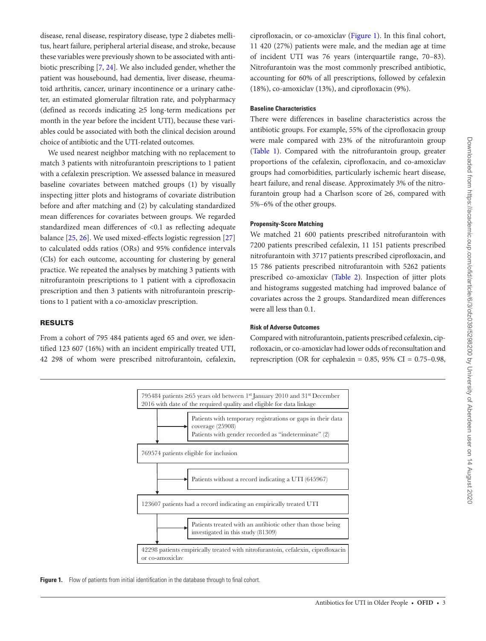disease, renal disease, respiratory disease, type 2 diabetes mellitus, heart failure, peripheral arterial disease, and stroke, because these variables were previously shown to be associated with antibiotic prescribing [[7](#page-5-14), [24\]](#page-5-15). We also included gender, whether the patient was housebound, had dementia, liver disease, rheumatoid arthritis, cancer, urinary incontinence or a urinary catheter, an estimated glomerular filtration rate, and polypharmacy (defined as records indicating ≥5 long-term medications per month in the year before the incident UTI), because these variables could be associated with both the clinical decision around choice of antibiotic and the UTI-related outcomes.

We used nearest neighbor matching with no replacement to match 3 patients with nitrofurantoin prescriptions to 1 patient with a cefalexin prescription. We assessed balance in measured baseline covariates between matched groups (1) by visually inspecting jitter plots and histograms of covariate distribution before and after matching and (2) by calculating standardized mean differences for covariates between groups. We regarded standardized mean differences of <0.1 as reflecting adequate balance [\[25,](#page-5-16) [26](#page-5-17)]. We used mixed-effects logistic regression [[27\]](#page-5-18) to calculated odds ratios (ORs) and 95% confidence intervals (CIs) for each outcome, accounting for clustering by general practice. We repeated the analyses by matching 3 patients with nitrofurantoin prescriptions to 1 patient with a ciprofloxacin prescription and then 3 patients with nitrofurantoin prescriptions to 1 patient with a co-amoxiclav prescription.

RESULTS

From a cohort of 795 484 patients aged 65 and over, we identified 123 607 (16%) with an incident empirically treated UTI, 42 298 of whom were prescribed nitrofurantoin, cefalexin,

ciprofloxacin, or co-amoxiclav ([Figure 1\)](#page-2-0). In this final cohort, 11 420 (27%) patients were male, and the median age at time of incident UTI was 76 years (interquartile range, 70–83). Nitrofurantoin was the most commonly prescribed antibiotic, accounting for 60% of all prescriptions, followed by cefalexin (18%), co-amoxiclav (13%), and ciprofloxacin (9%).

#### **Baseline Characteristics**

There were differences in baseline characteristics across the antibiotic groups. For example, 55% of the ciprofloxacin group were male compared with 23% of the nitrofurantoin group [\(Table 1](#page-3-0)). Compared with the nitrofurantoin group, greater proportions of the cefalexin, ciprofloxacin, and co-amoxiclav groups had comorbidities, particularly ischemic heart disease, heart failure, and renal disease. Approximately 3% of the nitrofurantoin group had a Charlson score of ≥6, compared with 5%–6% of the other groups.

#### **Propensity-Score Matching**

We matched 21 600 patients prescribed nitrofurantoin with 7200 patients prescribed cefalexin, 11 151 patients prescribed nitrofurantoin with 3717 patients prescribed ciprofloxacin, and 15 786 patients prescribed nitrofurantoin with 5262 patients prescribed co-amoxiclav ([Table 2\)](#page-4-0). Inspection of jitter plots and histograms suggested matching had improved balance of covariates across the 2 groups. Standardized mean differences were all less than 0.1.

# **Risk of Adverse Outcomes**

Compared with nitrofurantoin, patients prescribed cefalexin, ciprofloxacin, or co-amoxiclav had lower odds of reconsultation and represcription (OR for cephalexin =  $0.85$ ,  $95\%$  CI =  $0.75-0.98$ ,



<span id="page-2-0"></span>Figure 1. Flow of patients from initial identification in the database through to final cohort.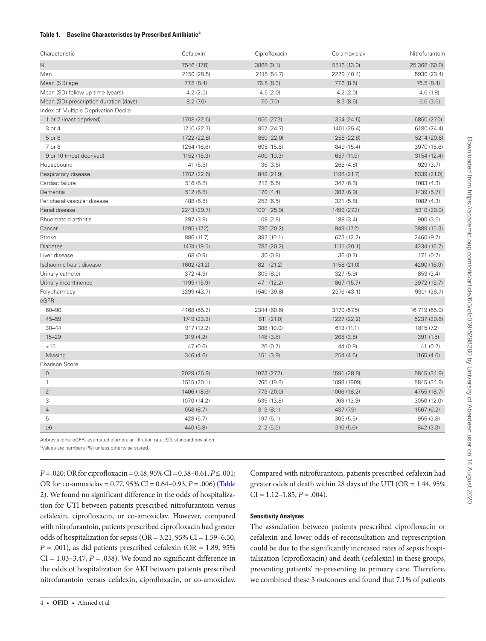## <span id="page-3-0"></span>**Table 1. Baseline Characteristics by Prescribed Antibiotica**

| Characteristic                         | Cefalexin   | Ciprofloxacin              | Co-amoxiclav | Nitrofurantoin<br>25 368 (60.0) |  |
|----------------------------------------|-------------|----------------------------|--------------|---------------------------------|--|
| N                                      | 7546 (17.8) | 3868 (9.1)                 | 5516 (13.0)  |                                 |  |
| Men                                    | 2150 (28.5) | 2115 (54.7)                | 2229 (40.4)  | 5930 (23.4)                     |  |
| Mean (SD) age                          | 77.5 (8.4)  | 76.5(8.3)                  | 77.6 (8.5)   | 76.5(8.4)                       |  |
| Mean (SD) follow-up time (years)       | 4.2(2.0)    | 4.5(2.0)                   | 4.2(2.0)     | 4.6(1.9)                        |  |
| Mean (SD) prescription duration (days) | 8.2(7.0)    | 7.6(7.0)                   | 8.3(8.6)     | 6.6(3.6)                        |  |
| Index of Multiple Deprivation Decile   |             |                            |              |                                 |  |
| 1 or 2 (least deprived)                | 1708 (22.6) | 1056 (27.3)                | 1354 (24.5)  | 6850 (27.0)                     |  |
| 3 or 4                                 | 1710 (22.7) | 957 (24.7)                 | 1401 (25.4)  | 6180 (24.4)                     |  |
| 5 or 6                                 | 1722 (22.8) | 850 (22.0)                 | 1255 (22.8)  | 5214 (20.6)                     |  |
| 7 or 8                                 | 1254 (16.6) | 605 (15.6)                 | 849 (15.4)   | 3970 (15.6)                     |  |
| 9 or 10 (most deprived)                | 1152 (15.3) | 400 (10.3)                 | 657 (11.9)   | 3154 (12.4)                     |  |
| Housebound                             | 41(5.5)     | 136(3.5)                   | 265 (4.8)    | 929(3.7)                        |  |
| Respiratory disease                    | 1702 (22.6) | 849 (21.9)                 | 1198 (21.7)  | 5339 (21.0)                     |  |
| Cardiac failure                        | 516 (6.8)   | 212(5.5)                   | 347(6.3)     | 1083 (4.3)                      |  |
| Dementia                               | 512 (6.8)   | 170(4.4)                   | 382 (6.9)    | 1439 (5.7)                      |  |
| Peripheral vascular disease            | 488 (6.5)   | 252(6.5)                   | 321(5.8)     | 1082 (4.3)                      |  |
| Renal disease                          | 2243 (29.7) | 1001 (25.9)<br>1499 (27.2) |              | 5310 (20.9)                     |  |
| Rhuematoid arthritis                   | 297 (3.9)   | 108(2.8)                   | 188 (3.4)    | 900(3.5)                        |  |
| Cancer                                 | 1295 (17.2) | 780 (20.2)                 | 949 (17.2)   | 3889 (15.3)                     |  |
| Stroke                                 | 886 (11.7)  | 392 (10.1)                 | 673 (12.2)   | 2460 (9.7)                      |  |
| <b>Diabetes</b>                        | 1474 (19.5) | 783 (20.2)                 | 1111 (20.1)  | 4234 (16.7)                     |  |
| Liver disease                          | 68 (0.9)    | 30(0.8)                    | 36(0.7)      | 171(0.7)                        |  |
| Ischaemic heart disease                | 1602 (21.2) | 821 (21.2)                 | 1158 (21.0)  | 4290 (16.9)                     |  |
| Urinary catheter                       | 372 (4.9)   | 309(8.0)                   | 327(5.9)     | 853 (3.4)                       |  |
| Urinary incontinence                   | 1199 (15.9) | 471 (12.2)                 | 867 (15.7)   | 3972 (15.7)                     |  |
| Polypharmacy                           | 3299 (43.7) | 1540 (39.8)                | 2376 (43.1)  | 9301 (36.7)                     |  |
| eGFR                                   |             |                            |              |                                 |  |
| $60 - 90$                              | 4168 (55.2) | 2344 (60.6)                | 3170 (57.5)  | 16 719 (65.9)                   |  |
| $45 - 59$                              | 1749 (23.2) | 811 (21.0)                 | 1227 (22.2)  | 5237 (20.6)                     |  |
| $30 - 44$                              | 917 (12.2)  | 388 (10.0)                 | 613 (11.1)   | 1815 (7.2)                      |  |
| $15 - 29$                              | 319(4.2)    | 148 (3.8)                  | 208 (3.8)    | 391 (1.5)                       |  |
| $<$ 15                                 | 47 (0.6)    | 26(0.7)                    | 44 (0.8)     | 41(0.2)                         |  |
| Missing                                | 346 (4.6)   | 151 (3.9)                  | 254(4.6)     | 1165 (4.6)                      |  |
| Charlson Score                         |             |                            |              |                                 |  |
| $\overline{0}$                         | 2029 (26.9) | 1073 (27.7)                | 1591 (28.8)  | 8845 (34.9)                     |  |
| $\mathbf{1}$                           | 1515 (20.1) | 765 (19.8)                 | 1098 (1909)  | 8845 (34.9)                     |  |
| $\overline{2}$                         | 1406 (18.6) | 773 (20.0)                 | 1006 (18.2)  | 4755 (18.7)                     |  |
| 3                                      | 1070 (14.2) | 535 (13.8)                 | 769 (13.9)   | 3050 (12.0)                     |  |
| $\overline{4}$                         | 658 (8.7)   | 313(8.1)                   | 437 (7.9)    | 1567 (6.2)                      |  |
| 5                                      | 428 (5.7)   | 197(5.1)                   | 305(5.5)     | 955 (3.8)                       |  |
| $\geq 6$                               | 440 (5.8)   | 212(5.5)                   | 310 (5.6)    | 842 (3.3)                       |  |

Abbreviations: eGFR, estimated glomerular filtration rate; SD, standard deviation.

<sup>a</sup>Values are numbers (%) unless otherwise stated.

*P* = .020; OR for ciprofloxacin = 0.48, 95% CI = 0.38–0.61, *P* ≤ .001; OR for co-amoxiclav = 0.77, 95% CI = 0.64–0.93, *P* = .006) [\(Table](#page-4-0) [2\)](#page-4-0). We found no significant difference in the odds of hospitalization for UTI between patients prescribed nitrofurantoin versus cefalexin, ciprofloxacin, or co-amoxiclav. However, compared with nitrofurantoin, patients prescribed ciprofloxacin had greater odds of hospitalization for sepsis (OR = 3.21, 95% CI = 1.59–6.50,  $P = .001$ ), as did patients prescribed cefalexin (OR = 1.89, 95%)  $CI = 1.03-3.47$ ,  $P = .038$ ). We found no significant difference in the odds of hospitalization for AKI between patients prescribed nitrofurantoin versus cefalexin, ciprofloxacin, or co-amoxiclav.

Compared with nitrofurantoin, patients prescribed cefalexin had greater odds of death within 28 days of the UTI (OR = 1.44, 95%  $CI = 1.12 - 1.85, P = .004$ .

# **Sensitivity Analyses**

The association between patients prescribed ciprofloxacin or cefalexin and lower odds of reconsultation and represcription could be due to the significantly increased rates of sepsis hospitalization (ciprofloxacin) and death (cefalexin) in these groups, preventing patients' re-presenting to primary care. Therefore, we combined these 3 outcomes and found that 7.1% of patients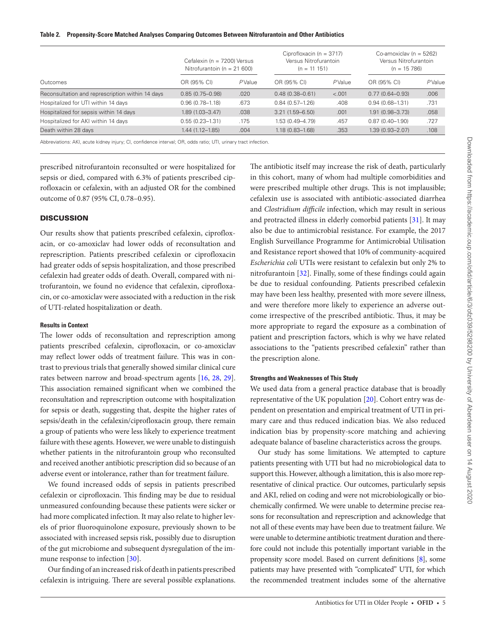#### <span id="page-4-0"></span>**Table 2. Propensity-Score Matched Analyses Comparing Outcomes Between Nitrofurantoin and Other Antibiotics**

|                                                  | Cefalexin (n = 7200) Versus<br>Nitrofurantoin ( $n = 21600$ ) |           | Ciprofloxacin ( $n = 3717$ )<br>Versus Nitrofurantoin<br>$(n = 11 151)$ |        | Co-amoxiclav ( $n = 5262$ )<br>Versus Nitrofurantoin<br>$(n = 15, 786)$ |        |
|--------------------------------------------------|---------------------------------------------------------------|-----------|-------------------------------------------------------------------------|--------|-------------------------------------------------------------------------|--------|
| Outcomes                                         | OR (95% CI)                                                   | $P$ Value | OR (95% CI)                                                             | PValue | OR (95% CI)                                                             | PValue |
| Reconsultation and represcription within 14 days | $0.85(0.75 - 0.98)$                                           | .020      | $0.48(0.38 - 0.61)$                                                     | < .001 | $0.77(0.64 - 0.93)$                                                     | .006   |
| Hospitalized for UTI within 14 days              | $0.96(0.78 - 1.18)$                                           | .673      | $0.84(0.57 - 1.26)$                                                     | .408   | $0.94(0.68 - 1.31)$                                                     | .731   |
| Hospitalized for sepsis within 14 days           | $1.89(1.03 - 3.47)$                                           | .038      | $3.21(1.59 - 6.50)$                                                     | .001   | $1.91(0.98 - 3.73)$                                                     | .058   |
| Hospitalized for AKI within 14 days              | $0.55(0.23 - 1.31)$                                           | .175      | 1.53 (0.49-4.79)                                                        | .457   | $0.87(0.40 - 1.90)$                                                     | .727   |
| Death within 28 days                             | $1.44(1.12 - 1.85)$                                           | .004      | $1.18(0.83 - 1.68)$                                                     | .353   | $1.39(0.93 - 2.07)$                                                     | .108   |

Abbreviations: AKI, acute kidney injury; CI, confidence interval; OR, odds ratio; UTI, urinary tract infection.

prescribed nitrofurantoin reconsulted or were hospitalized for sepsis or died, compared with 6.3% of patients prescribed ciprofloxacin or cefalexin, with an adjusted OR for the combined outcome of 0.87 (95% CI, 0.78–0.95).

# **DISCUSSION**

Our results show that patients prescribed cefalexin, ciprofloxacin, or co-amoxiclav had lower odds of reconsultation and represcription. Patients prescribed cefalexin or ciprofloxacin had greater odds of sepsis hospitalization, and those prescribed cefalexin had greater odds of death. Overall, compared with nitrofurantoin, we found no evidence that cefalexin, ciprofloxacin, or co-amoxiclav were associated with a reduction in the risk of UTI-related hospitalization or death.

## **Results in Context**

The lower odds of reconsultation and represcription among patients prescribed cefalexin, ciprofloxacin, or co-amoxiclav may reflect lower odds of treatment failure. This was in contrast to previous trials that generally showed similar clinical cure rates between narrow and broad-spectrum agents [\[16](#page-5-19), [28](#page-5-20), [29\]](#page-5-21). This association remained significant when we combined the reconsultation and represcription outcome with hospitalization for sepsis or death, suggesting that, despite the higher rates of sepsis/death in the cefalexin/ciprofloxacin group, there remain a group of patients who were less likely to experience treatment failure with these agents. However, we were unable to distinguish whether patients in the nitrofurantoin group who reconsulted and received another antibiotic prescription did so because of an adverse event or intolerance, rather than for treatment failure.

We found increased odds of sepsis in patients prescribed cefalexin or ciprofloxacin. This finding may be due to residual unmeasured confounding because these patients were sicker or had more complicated infection. It may also relate to higher levels of prior fluoroquinolone exposure, previously shown to be associated with increased sepsis risk, possibly due to disruption of the gut microbiome and subsequent dysregulation of the im-mune response to infection [[30](#page-5-22)].

Our finding of an increased risk of death in patients prescribed cefalexin is intriguing. There are several possible explanations.

The antibiotic itself may increase the risk of death, particularly in this cohort, many of whom had multiple comorbidities and were prescribed multiple other drugs. This is not implausible; cefalexin use is associated with antibiotic-associated diarrhea and *Clostridium difficile* infection, which may result in serious and protracted illness in elderly comorbid patients [[31\]](#page-5-23). It may also be due to antimicrobial resistance. For example, the 2017 English Surveillance Programme for Antimicrobial Utilisation and Resistance report showed that 10% of community-acquired *Escherichia coli* UTIs were resistant to cefalexin but only 2% to nitrofurantoin [\[32](#page-5-24)]. Finally, some of these findings could again be due to residual confounding. Patients prescribed cefalexin may have been less healthy, presented with more severe illness, and were therefore more likely to experience an adverse outcome irrespective of the prescribed antibiotic. Thus, it may be more appropriate to regard the exposure as a combination of patient and prescription factors, which is why we have related associations to the "patients prescribed cefalexin" rather than the prescription alone.

## **Strengths and Weaknesses of This Study**

We used data from a general practice database that is broadly representative of the UK population [[20\]](#page-5-10). Cohort entry was dependent on presentation and empirical treatment of UTI in primary care and thus reduced indication bias. We also reduced indication bias by propensity-score matching and achieving adequate balance of baseline characteristics across the groups.

Our study has some limitations. We attempted to capture patients presenting with UTI but had no microbiological data to support this. However, although a limitation, this is also more representative of clinical practice. Our outcomes, particularly sepsis and AKI, relied on coding and were not microbiologically or biochemically confirmed. We were unable to determine precise reasons for reconsultation and represcription and acknowledge that not all of these events may have been due to treatment failure. We were unable to determine antibiotic treatment duration and therefore could not include this potentially important variable in the propensity score model. Based on current definitions [\[8\]](#page-5-1), some patients may have presented with "complicated" UTI, for which the recommended treatment includes some of the alternative